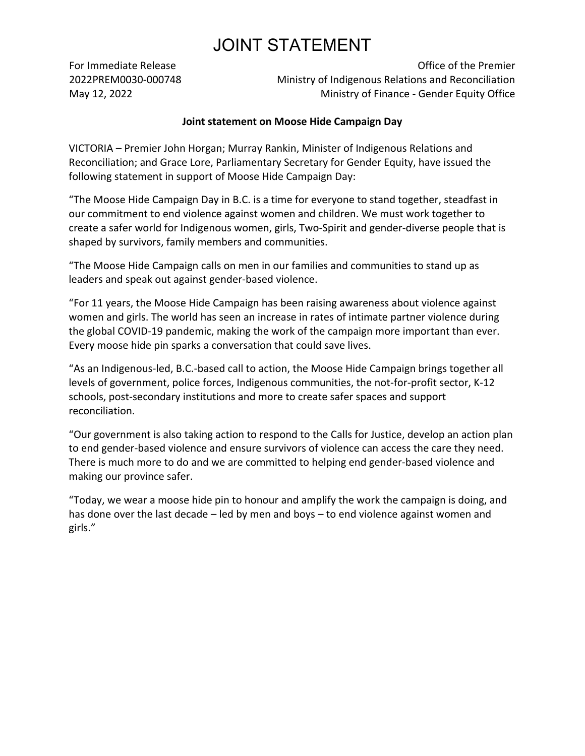## JOINT STATEMENT

For Immediate Release 2022PREM0030-000748 May 12, 2022

Office of the Premier Ministry of Indigenous Relations and Reconciliation Ministry of Finance - Gender Equity Office

## **Joint statement on Moose Hide Campaign Day**

VICTORIA – Premier John Horgan; Murray Rankin, Minister of Indigenous Relations and Reconciliation; and Grace Lore, Parliamentary Secretary for Gender Equity, have issued the following statement in support of Moose Hide Campaign Day:

͞The Moose Hide Campaign Day in B.C. is a time for everyone to stand together, steadfast in our commitment to end violence against women and children. We must work together to create a safer world for Indigenous women, girls, Two-Spirit and gender-diverse people that is shaped by survivors, family members and communities.

͞The Moose Hide Campaign calls on men in our families and communities to stand up as leaders and speak out against gender-based violence.

͞For 11 years, the Moose Hide Campaign has been raising awareness about violence against women and girls. The world has seen an increase in rates of intimate partner violence during the global COVID-19 pandemic, making the work of the campaign more important than ever. Every moose hide pin sparks a conversation that could save lives.

"As an Indigenous-led, B.C.-based call to action, the Moose Hide Campaign brings together all levels of government, police forces, Indigenous communities, the not-for-profit sector, K-12 schools, post-secondary institutions and more to create safer spaces and support reconciliation.

͞Our government is also taking action to respond to the Calls for Justice, develop an action plan to end gender-based violence and ensure survivors of violence can access the care they need. There is much more to do and we are committed to helping end gender-based violence and making our province safer.

͞Today, we wear a moose hide pin to honour and amplify the work the campaign is doing, and has done over the last decade  $-$  led by men and boys  $-$  to end violence against women and girls.͟